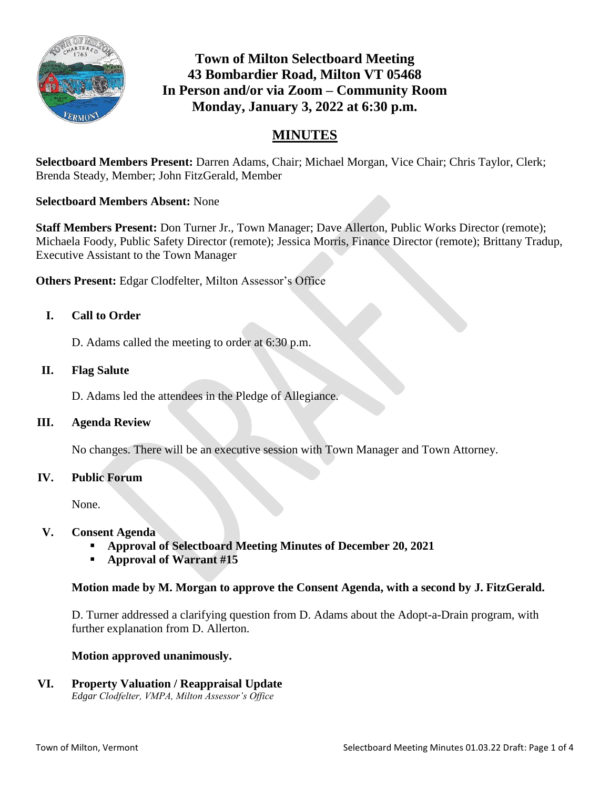

# **Town of Milton Selectboard Meeting 43 Bombardier Road, Milton VT 05468 In Person and/or via Zoom – Community Room Monday, January 3, 2022 at 6:30 p.m.**

## **MINUTES**

**Selectboard Members Present:** Darren Adams, Chair; Michael Morgan, Vice Chair; Chris Taylor, Clerk; Brenda Steady, Member; John FitzGerald, Member

#### **Selectboard Members Absent:** None

**Staff Members Present:** Don Turner Jr., Town Manager; Dave Allerton, Public Works Director (remote); Michaela Foody, Public Safety Director (remote); Jessica Morris, Finance Director (remote); Brittany Tradup, Executive Assistant to the Town Manager

**Others Present:** Edgar Clodfelter, Milton Assessor's Office

#### **I. Call to Order**

D. Adams called the meeting to order at 6:30 p.m.

#### **II. Flag Salute**

D. Adams led the attendees in the Pledge of Allegiance.

#### **III. Agenda Review**

No changes. There will be an executive session with Town Manager and Town Attorney.

#### **IV. Public Forum**

None.

#### **V. Consent Agenda**

- **Approval of Selectboard Meeting Minutes of December 20, 2021**
- **Approval of Warrant #15**

#### **Motion made by M. Morgan to approve the Consent Agenda, with a second by J. FitzGerald.**

D. Turner addressed a clarifying question from D. Adams about the Adopt-a-Drain program, with further explanation from D. Allerton.

#### **Motion approved unanimously.**

**VI. Property Valuation / Reappraisal Update**  *Edgar Clodfelter, VMPA, Milton Assessor's Office*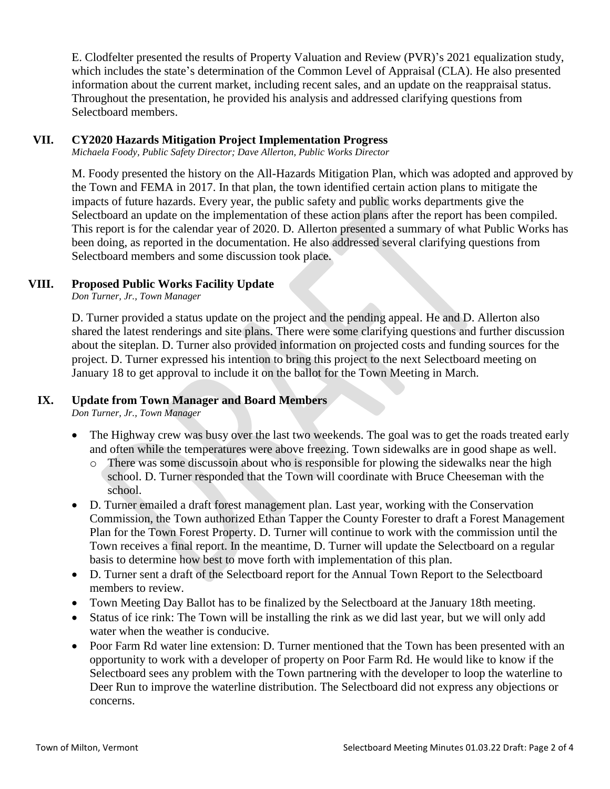E. Clodfelter presented the results of Property Valuation and Review (PVR)'s 2021 equalization study, which includes the state's determination of the Common Level of Appraisal (CLA). He also presented information about the current market, including recent sales, and an update on the reappraisal status. Throughout the presentation, he provided his analysis and addressed clarifying questions from Selectboard members.

### **VII. CY2020 Hazards Mitigation Project Implementation Progress**

*Michaela Foody, Public Safety Director; Dave Allerton, Public Works Director*

M. Foody presented the history on the All-Hazards Mitigation Plan, which was adopted and approved by the Town and FEMA in 2017. In that plan, the town identified certain action plans to mitigate the impacts of future hazards. Every year, the public safety and public works departments give the Selectboard an update on the implementation of these action plans after the report has been compiled. This report is for the calendar year of 2020. D. Allerton presented a summary of what Public Works has been doing, as reported in the documentation. He also addressed several clarifying questions from Selectboard members and some discussion took place.

#### **VIII. Proposed Public Works Facility Update**

*Don Turner, Jr., Town Manager*

D. Turner provided a status update on the project and the pending appeal. He and D. Allerton also shared the latest renderings and site plans. There were some clarifying questions and further discussion about the siteplan. D. Turner also provided information on projected costs and funding sources for the project. D. Turner expressed his intention to bring this project to the next Selectboard meeting on January 18 to get approval to include it on the ballot for the Town Meeting in March.

#### **IX. Update from Town Manager and Board Members**

*Don Turner, Jr., Town Manager*

- The Highway crew was busy over the last two weekends. The goal was to get the roads treated early and often while the temperatures were above freezing. Town sidewalks are in good shape as well.
	- o There was some discussoin about who is responsible for plowing the sidewalks near the high school. D. Turner responded that the Town will coordinate with Bruce Cheeseman with the school.
- D. Turner emailed a draft forest management plan. Last year, working with the Conservation Commission, the Town authorized Ethan Tapper the County Forester to draft a Forest Management Plan for the Town Forest Property. D. Turner will continue to work with the commission until the Town receives a final report. In the meantime, D. Turner will update the Selectboard on a regular basis to determine how best to move forth with implementation of this plan.
- D. Turner sent a draft of the Selectboard report for the Annual Town Report to the Selectboard members to review.
- Town Meeting Day Ballot has to be finalized by the Selectboard at the January 18th meeting.
- Status of ice rink: The Town will be installing the rink as we did last year, but we will only add water when the weather is conducive.
- Poor Farm Rd water line extension: D. Turner mentioned that the Town has been presented with an opportunity to work with a developer of property on Poor Farm Rd. He would like to know if the Selectboard sees any problem with the Town partnering with the developer to loop the waterline to Deer Run to improve the waterline distribution. The Selectboard did not express any objections or concerns.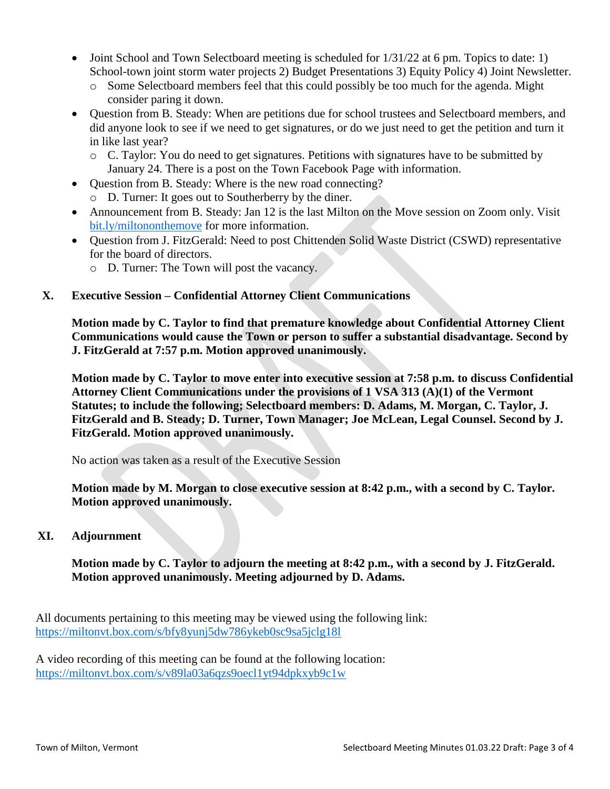- $\bullet$  Joint School and Town Selectboard meeting is scheduled for  $1/31/22$  at 6 pm. Topics to date: 1) School-town joint storm water projects 2) Budget Presentations 3) Equity Policy 4) Joint Newsletter.
	- o Some Selectboard members feel that this could possibly be too much for the agenda. Might consider paring it down.
- Question from B. Steady: When are petitions due for school trustees and Selectboard members, and did anyone look to see if we need to get signatures, or do we just need to get the petition and turn it in like last year?
	- o C. Taylor: You do need to get signatures. Petitions with signatures have to be submitted by January 24. There is a post on the Town Facebook Page with information.
- Question from B. Steady: Where is the new road connecting?
	- o D. Turner: It goes out to Southerberry by the diner.
- Announcement from B. Steady: Jan 12 is the last Milton on the Move session on Zoom only. Visit [bit.ly/miltononthemove](http://bit.ly/miltononthemove) for more information.
- Question from J. FitzGerald: Need to post Chittenden Solid Waste District (CSWD) representative for the board of directors.
	- o D. Turner: The Town will post the vacancy.

## **X. Executive Session – Confidential Attorney Client Communications**

**Motion made by C. Taylor to find that premature knowledge about Confidential Attorney Client Communications would cause the Town or person to suffer a substantial disadvantage. Second by J. FitzGerald at 7:57 p.m. Motion approved unanimously.**

**Motion made by C. Taylor to move enter into executive session at 7:58 p.m. to discuss Confidential Attorney Client Communications under the provisions of 1 VSA 313 (A)(1) of the Vermont Statutes; to include the following; Selectboard members: D. Adams, M. Morgan, C. Taylor, J. FitzGerald and B. Steady; D. Turner, Town Manager; Joe McLean, Legal Counsel. Second by J. FitzGerald. Motion approved unanimously.**

No action was taken as a result of the Executive Session

**Motion made by M. Morgan to close executive session at 8:42 p.m., with a second by C. Taylor. Motion approved unanimously.**

## **XI. Adjournment**

**Motion made by C. Taylor to adjourn the meeting at 8:42 p.m., with a second by J. FitzGerald. Motion approved unanimously. Meeting adjourned by D. Adams.**

All documents pertaining to this meeting may be viewed using the following link: <https://miltonvt.box.com/s/bfy8yunj5dw786ykeb0sc9sa5jclg18l>

A video recording of this meeting can be found at the following location: <https://miltonvt.box.com/s/v89la03a6qzs9oecl1yt94dpkxyb9c1w>